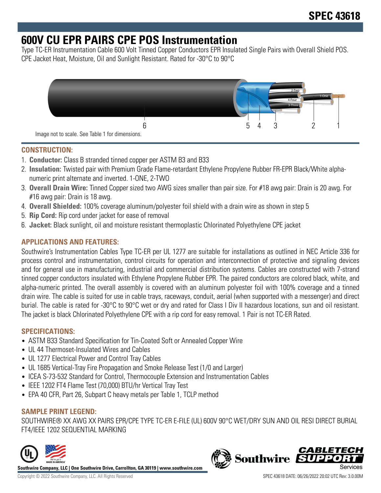# **600V CU EPR PAIRS CPE POS Instrumentation**

Type TC-ER Instrumentation Cable 600 Volt Tinned Copper Conductors EPR Insulated Single Pairs with Overall Shield POS. CPE Jacket Heat, Moisture, Oil and Sunlight Resistant. Rated for -30°C to 90°C



#### **CONSTRUCTION:**

- 1. **Conductor:** Class B stranded tinned copper per ASTM B3 and B33
- 2. **Insulation:** Twisted pair with Premium Grade Flame-retardant Ethylene Propylene Rubber FR-EPR Black/White alphanumeric print alternate and inverted. 1-ONE, 2-TWO
- 3. **Overall Drain Wire:** Tinned Copper sized two AWG sizes smaller than pair size. For #18 awg pair: Drain is 20 awg. For #16 awg pair: Drain is 18 awg.
- 4. **Overall Shielded:** 100% coverage aluminum/polyester foil shield with a drain wire as shown in step 5
- 5. **Rip Cord:** Rip cord under jacket for ease of removal
- 6. **Jacket:** Black sunlight, oil and moisture resistant thermoplastic Chlorinated Polyethylene CPE jacket

#### **APPLICATIONS AND FEATURES:**

Southwire's Instrumentation Cables Type TC-ER per UL 1277 are suitable for installations as outlined in NEC Article 336 for process control and instrumentation, control circuits for operation and interconnection of protective and signaling devices and for general use in manufacturing, industrial and commercial distribution systems. Cables are constructed with 7-strand tinned copper conductors insulated with Ethylene Propylene Rubber EPR. The paired conductors are colored black, white, and alpha-numeric printed. The overall assembly is covered with an aluminum polyester foil with 100% coverage and a tinned drain wire. The cable is suited for use in cable trays, raceways, conduit, aerial (when supported with a messenger) and direct burial. The cable is rated for -30°C to 90°C wet or dry and rated for Class I Div II hazardous locations, sun and oil resistant. The jacket is black Chlorinated Polyethylene CPE with a rip cord for easy removal. 1 Pair is not TC-ER Rated.

#### **SPECIFICATIONS:**

- ASTM B33 Standard Specification for Tin-Coated Soft or Annealed Copper Wire
- UL 44 Thermoset-Insulated Wires and Cables
- UL 1277 Electrical Power and Control Tray Cables
- UL 1685 Vertical-Tray Fire Propagation and Smoke Release Test (1/0 and Larger)
- ICEA S-73-532 Standard for Control, Thermocouple Extension and Instrumentation Cables
- IEEE 1202 FT4 Flame Test (70,000) BTU/hr Vertical Tray Test
- EPA 40 CFR, Part 26, Subpart C heavy metals per Table 1, TCLP method

#### **SAMPLE PRINT LEGEND:**

SOUTHWIRE® XX AWG XX PAIRS EPR/CPE TYPE TC-ER E-FILE (UL) 600V 90°C WET/DRY SUN AND OIL RESI DIRECT BURIAL FT4/IEEE 1202 SEQUENTIAL MARKING



**Southwire Company, LLC | One Southwire Drive, Carrollton, GA 30119 | www.southwire.com**

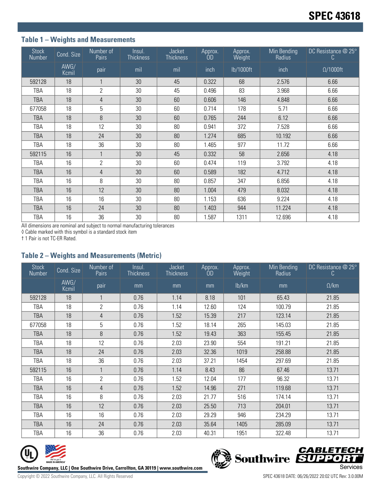### **Table 1 – Weights and Measurements**

| <b>Stock</b><br>Number | Cond. Size    | Number of<br>Pairs | Insul.<br><b>Thickness</b> | Jacket<br><b>Thickness</b> | Approx.<br>ÒD | Approx.<br>Weight | Min Bending<br>Radius | DC Resistance @ 25°<br>C. |
|------------------------|---------------|--------------------|----------------------------|----------------------------|---------------|-------------------|-----------------------|---------------------------|
|                        | AWG/<br>Kcmil | pair               | mil                        | mil                        | inch          | lb/1000ft         | inch                  | $\Omega/1000$ ft          |
| 592128                 | 18            |                    | 30                         | 45                         | 0.322         | 68                | 2.576                 | 6.66                      |
| TBA                    | 18            | $\mathbf{2}$       | 30                         | 45                         | 0.496         | 83                | 3.968                 | 6.66                      |
| <b>TBA</b>             | 18            | 4                  | 30                         | 60                         | 0.606         | 146               | 4.848                 | 6.66                      |
| 677058                 | 18            | 5                  | 30                         | 60                         | 0.714         | 178               | 5.71                  | 6.66                      |
| <b>TBA</b>             | 18            | 8                  | 30                         | 60                         | 0.765         | 244               | 6.12                  | 6.66                      |
| TBA                    | 18            | 12                 | 30                         | 80                         | 0.941         | 372               | 7.528                 | 6.66                      |
| <b>TBA</b>             | 18            | 24                 | 30                         | 80                         | 1.274         | 685               | 10.192                | 6.66                      |
| TBA                    | 18            | 36                 | 30                         | 80                         | 1.465         | 977               | 11.72                 | 6.66                      |
| 592115                 | 16            |                    | 30                         | 45                         | 0.332         | 58                | 2.656                 | 4.18                      |
| TBA                    | 16            | $\overline{2}$     | 30                         | 60                         | 0.474         | 119               | 3.792                 | 4.18                      |
| <b>TBA</b>             | 16            | 4                  | 30                         | 60                         | 0.589         | 182               | 4.712                 | 4.18                      |
| TBA                    | 16            | 8                  | 30                         | 80                         | 0.857         | 347               | 6.856                 | 4.18                      |
| <b>TBA</b>             | 16            | 12                 | 30                         | 80                         | 1.004         | 479               | 8.032                 | 4.18                      |
| TBA                    | 16            | 16                 | 30                         | 80                         | 1.153         | 636               | 9.224                 | 4.18                      |
| <b>TBA</b>             | 16            | 24                 | 30                         | 80                         | 1.403         | 944               | 11.224                | 4.18                      |
| <b>TBA</b>             | 16            | 36                 | 30                         | 80                         | 1.587         | 1311              | 12.696                | 4.18                      |

All dimensions are nominal and subject to normal manufacturing tolerances

◊ Cable marked with this symbol is a standard stock item

† 1 Pair is not TC-ER Rated.

#### **Table 2 – Weights and Measurements (Metric)**

| <b>Stock</b><br>Number | Cond. Size    | Number of<br>Pairs | Insul.<br><b>Thickness</b> | <b>Jacket</b><br><b>Thickness</b> | Approx.<br>ÒD | Approx.<br>Weight | Min Bending<br>Radius | DC Resistance @ 25°<br>C. |
|------------------------|---------------|--------------------|----------------------------|-----------------------------------|---------------|-------------------|-----------------------|---------------------------|
|                        | AWG/<br>Kcmil | pair               | mm                         | mm                                | mm            | lb/km             | mm                    | $\Omega$ /km              |
| 592128                 | 18            |                    | 0.76                       | 1.14                              | 8.18          | 101               | 65.43                 | 21.85                     |
| TBA                    | 18            | $\overline{2}$     | 0.76                       | 1.14                              | 12.60         | 124               | 100.79                | 21.85                     |
| <b>TBA</b>             | 18            | 4                  | 0.76                       | 1.52                              | 15.39         | 217               | 123.14                | 21.85                     |
| 677058                 | 18            | 5                  | 0.76                       | 1.52                              | 18.14         | 265               | 145.03                | 21.85                     |
| <b>TBA</b>             | 18            | 8                  | 0.76                       | 1.52                              | 19.43         | 363               | 155.45                | 21.85                     |
| TBA                    | 18            | 12                 | 0.76                       | 2.03                              | 23.90         | 554               | 191.21                | 21.85                     |
| TBA                    | 18            | 24                 | 0.76                       | 2.03                              | 32.36         | 1019              | 258.88                | 21.85                     |
| <b>TBA</b>             | 18            | 36                 | 0.76                       | 2.03                              | 37.21         | 1454              | 297.69                | 21.85                     |
| 592115                 | 16            |                    | 0.76                       | 1.14                              | 8.43          | 86                | 67.46                 | 13.71                     |
| TBA                    | 16            | $\overline{2}$     | 0.76                       | 1.52                              | 12.04         | 177               | 96.32                 | 13.71                     |
| <b>TBA</b>             | 16            | 4                  | 0.76                       | 1.52                              | 14.96         | 271               | 119.68                | 13.71                     |
| TBA                    | 16            | 8                  | 0.76                       | 2.03                              | 21.77         | 516               | 174.14                | 13.71                     |
| TBA                    | 16            | 12                 | 0.76                       | 2.03                              | 25.50         | 713               | 204.01                | 13.71                     |
| TBA                    | 16            | 16                 | 0.76                       | 2.03                              | 29.29         | 946               | 234.29                | 13.71                     |
| <b>TBA</b>             | 16            | 24                 | 0.76                       | 2.03                              | 35.64         | 1405              | 285.09                | 13.71                     |
| <b>TBA</b>             | 16            | 36                 | 0.76                       | 2.03                              | 40.31         | 1951              | 322.48                | 13.71                     |